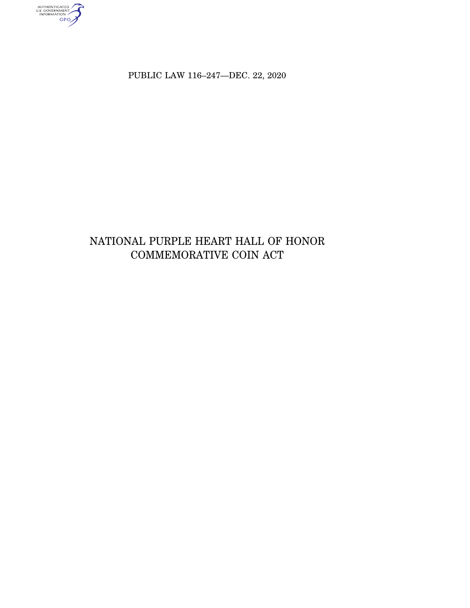AUTHENTICATED<br>U.S. GOVERNMENT<br>INFORMATION

PUBLIC LAW 116-247-DEC. 22, 2020

# NATIONAL PURPLE HEART HALL OF HONOR COMMEMORATIVE COIN ACT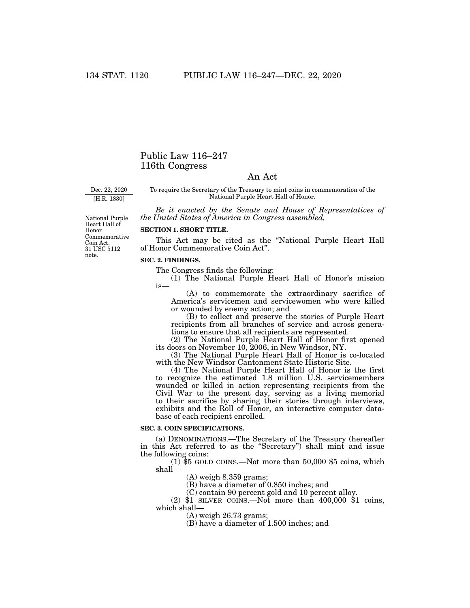# Public Law 116–247 116th Congress

# An Act

Dec. 22, 2020

[H.R. 1830]

National Purple

note.

To require the Secretary of the Treasury to mint coins in commemoration of the National Purple Heart Hall of Honor.

*Be it enacted by the Senate and House of Representatives of the United States of America in Congress assembled,* 

Heart Hall of Honor Commemorative Coin Act. 31 USC 5112

## **SECTION 1. SHORT TITLE.**

This Act may be cited as the ''National Purple Heart Hall of Honor Commemorative Coin Act''.

#### **SEC. 2. FINDINGS.**

The Congress finds the following:

(1) The National Purple Heart Hall of Honor's mission is—

(A) to commemorate the extraordinary sacrifice of America's servicemen and servicewomen who were killed or wounded by enemy action; and

(B) to collect and preserve the stories of Purple Heart recipients from all branches of service and across generations to ensure that all recipients are represented.

(2) The National Purple Heart Hall of Honor first opened its doors on November 10, 2006, in New Windsor, NY.

(3) The National Purple Heart Hall of Honor is co-located with the New Windsor Cantonment State Historic Site.

(4) The National Purple Heart Hall of Honor is the first to recognize the estimated 1.8 million U.S. servicemembers wounded or killed in action representing recipients from the Civil War to the present day, serving as a living memorial to their sacrifice by sharing their stories through interviews, exhibits and the Roll of Honor, an interactive computer database of each recipient enrolled.

## **SEC. 3. COIN SPECIFICATIONS.**

(a) DENOMINATIONS.—The Secretary of the Treasury (hereafter in this Act referred to as the ''Secretary'') shall mint and issue the following coins:

(1) \$5 GOLD COINS.—Not more than 50,000 \$5 coins, which shall—

(A) weigh 8.359 grams;

(B) have a diameter of 0.850 inches; and

(C) contain 90 percent gold and 10 percent alloy.

(2)  $$1$  SILVER COINS.—Not more than 400,000  $$1$  coins, which shall—

(A) weigh 26.73 grams;

(B) have a diameter of 1.500 inches; and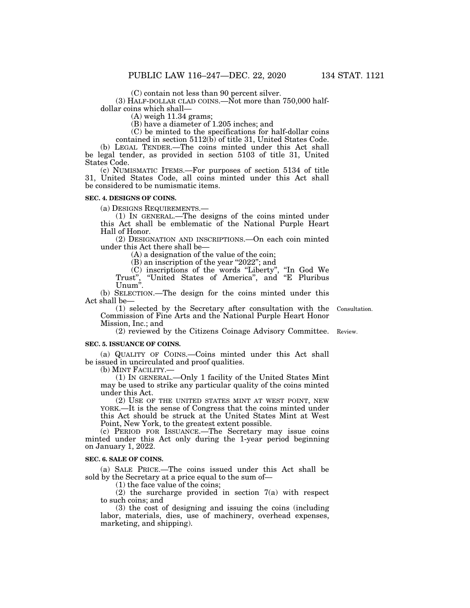(C) contain not less than 90 percent silver.

(3) HALF-DOLLAR CLAD COINS.—Not more than 750,000 halfdollar coins which shall—

(A) weigh 11.34 grams;

(B) have a diameter of 1.205 inches; and

(C) be minted to the specifications for half-dollar coins

contained in section 5112(b) of title 31, United States Code. (b) LEGAL TENDER.—The coins minted under this Act shall be legal tender, as provided in section 5103 of title 31, United States Code.

(c) NUMISMATIC ITEMS.—For purposes of section 5134 of title 31, United States Code, all coins minted under this Act shall be considered to be numismatic items.

#### **SEC. 4. DESIGNS OF COINS.**

(a) DESIGNS REQUIREMENTS.— (1) IN GENERAL.—The designs of the coins minted under this Act shall be emblematic of the National Purple Heart Hall of Honor.

(2) DESIGNATION AND INSCRIPTIONS.—On each coin minted under this Act there shall be—

(A) a designation of the value of the coin;

(B) an inscription of the year ''2022''; and

(C) inscriptions of the words ''Liberty'', ''In God We Trust", "United States of America", and "E Pluribus Unum''.

(b) SELECTION.—The design for the coins minted under this Act shall be—

(1) selected by the Secretary after consultation with the Commission of Fine Arts and the National Purple Heart Honor Mission, Inc.; and

(2) reviewed by the Citizens Coinage Advisory Committee. Review.

#### **SEC. 5. ISSUANCE OF COINS.**

(a) QUALITY OF COINS.—Coins minted under this Act shall be issued in uncirculated and proof qualities.

(b) MINT FACILITY.—

(1) IN GENERAL.—Only 1 facility of the United States Mint may be used to strike any particular quality of the coins minted under this Act.

(2) USE OF THE UNITED STATES MINT AT WEST POINT, NEW YORK.—It is the sense of Congress that the coins minted under this Act should be struck at the United States Mint at West Point, New York, to the greatest extent possible.

(c) PERIOD FOR ISSUANCE.—The Secretary may issue coins minted under this Act only during the 1-year period beginning on January 1, 2022.

#### **SEC. 6. SALE OF COINS.**

(a) SALE PRICE.—The coins issued under this Act shall be sold by the Secretary at a price equal to the sum of—

(1) the face value of the coins;

(2) the surcharge provided in section 7(a) with respect to such coins; and

(3) the cost of designing and issuing the coins (including labor, materials, dies, use of machinery, overhead expenses, marketing, and shipping).

Consultation.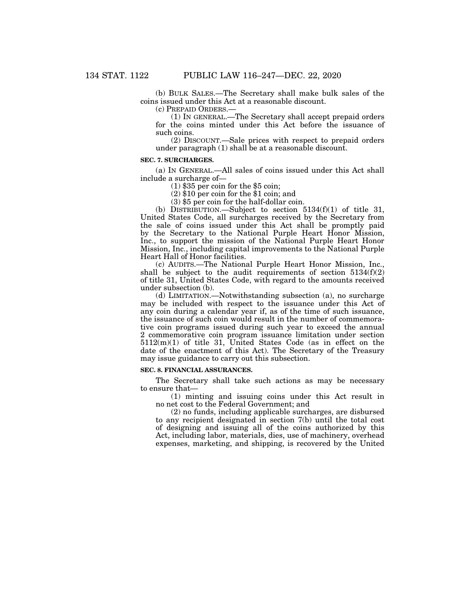(b) BULK SALES.—The Secretary shall make bulk sales of the coins issued under this Act at a reasonable discount.

(c) PREPAID ORDERS.—

(1) IN GENERAL.—The Secretary shall accept prepaid orders for the coins minted under this Act before the issuance of such coins.

(2) DISCOUNT.—Sale prices with respect to prepaid orders under paragraph (1) shall be at a reasonable discount.

## **SEC. 7. SURCHARGES.**

(a) IN GENERAL.—All sales of coins issued under this Act shall include a surcharge of—

(1) \$35 per coin for the \$5 coin;

(2) \$10 per coin for the \$1 coin; and

(3) \$5 per coin for the half-dollar coin.

(b) DISTRIBUTION.—Subject to section 5134(f)(1) of title 31, United States Code, all surcharges received by the Secretary from the sale of coins issued under this Act shall be promptly paid by the Secretary to the National Purple Heart Honor Mission, Inc., to support the mission of the National Purple Heart Honor Mission, Inc., including capital improvements to the National Purple Heart Hall of Honor facilities.

(c) AUDITS.—The National Purple Heart Honor Mission, Inc., shall be subject to the audit requirements of section  $5134(f)(2)$ of title 31, United States Code, with regard to the amounts received under subsection (b).

(d) LIMITATION.—Notwithstanding subsection (a), no surcharge may be included with respect to the issuance under this Act of any coin during a calendar year if, as of the time of such issuance, the issuance of such coin would result in the number of commemorative coin programs issued during such year to exceed the annual 2 commemorative coin program issuance limitation under section 5112(m)(1) of title 31, United States Code (as in effect on the date of the enactment of this Act). The Secretary of the Treasury may issue guidance to carry out this subsection.

#### **SEC. 8. FINANCIAL ASSURANCES.**

The Secretary shall take such actions as may be necessary to ensure that—

(1) minting and issuing coins under this Act result in no net cost to the Federal Government; and

(2) no funds, including applicable surcharges, are disbursed to any recipient designated in section 7(b) until the total cost of designing and issuing all of the coins authorized by this Act, including labor, materials, dies, use of machinery, overhead expenses, marketing, and shipping, is recovered by the United